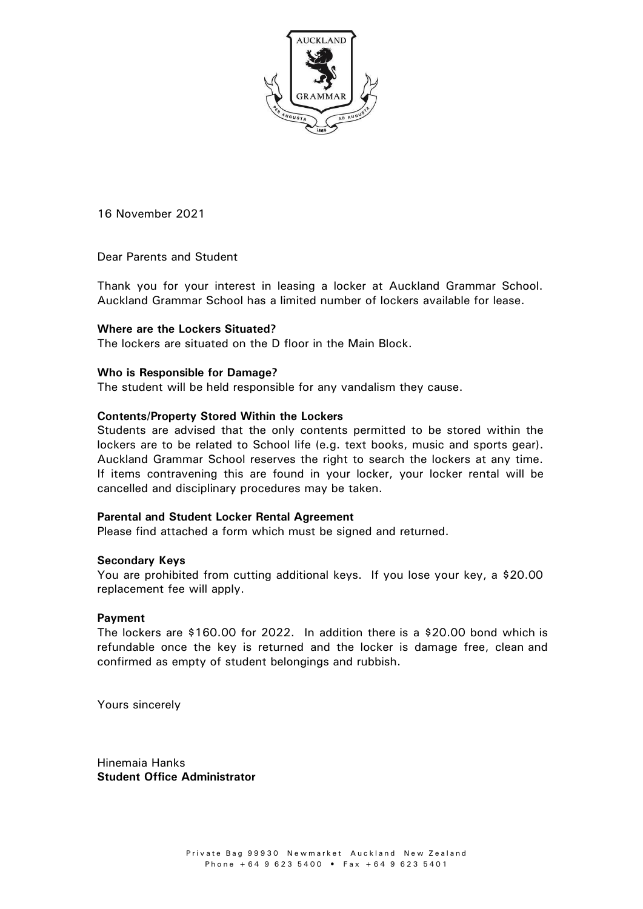

**16 November 2021**

Dear Parents and Student

Thank you for your interest in leasing a locker at Auckland Grammar School. Auckland Grammar School has a limited number of lockers available for lease.

# **Where are the Lockers Situated?**

The lockers are situated **on the** D floor in the Main Block.

# **Who is Responsible for Damage?**

The student will be held responsible for any vandalism they cause.

# **Contents/Property Stored Within the Lockers**

Students are advised that the only contents permitted to be stored within the lockers are to be related to School life (e.g. text books, music and sports gear). Auckland Grammar School reserves the right to search the lockers at any time. If items contravening this are found in your locker, your locker rental will be cancelled and disciplinary procedures may be taken.

### **Parental and Student Locker Rental Agreement**

Please find attached a form which must be signed and returned.

### **Secondary Keys**

You are prohibited from cutting additional keys. If you lose your key, a \$20.00 replacement fee will apply.

### **Payment**

The lockers are \$160.00 for 20**22**. In addition there is a \$20.00 bond which is refundable once the key is returned and the locker is damage free, clean and confirmed as empty of student belongings and rubbish.

Yours sincerely

**Hinemaia Hanks Student Office Administrator**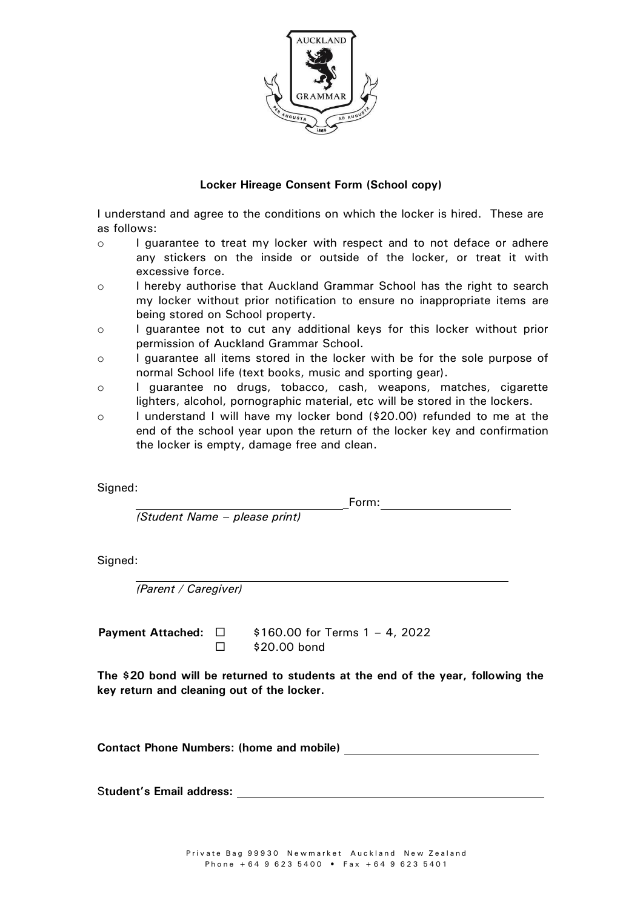

# **Locker Hireage Consent Form (School copy)**

I understand and agree to the conditions on which the locker is hired. These are as follows:

- o I guarantee to treat my locker with respect and to not deface or adhere any stickers on the inside or outside of the locker, or treat it with excessive force.
- o I hereby authorise that Auckland Grammar School has the right to search my locker without prior notification to ensure no inappropriate items are being stored on School property.
- o I guarantee not to cut any additional keys for this locker without prior permission of Auckland Grammar School.
- o I guarantee all items stored in the locker with be for the sole purpose of normal School life (text books, music and sporting gear).
- o I guarantee no drugs, tobacco, cash, weapons, matches, cigarette lighters, alcohol, pornographic material, etc will be stored in the lockers.
- o I understand I will have my locker bond (\$20.00) refunded to me at the end of the school year upon the return of the locker key and confirmation the locker is empty, damage free and clean.

Signed:

Form: the contract of the contract of the contract of the contract of the contract of the contract of the contract of the contract of the contract of the contract of the contract of the contract of the contract of the cont

*(Student Name – please print)*

Signed:

*(Parent / Caregiver)*

**Payment Attached:**   $\Box$ 

\$160.00 for Terms 1 – 4, **2022** \$20.00 bond

**The \$20 bond will be returned to students at the end of the year, following the key return and cleaning out of the locker.**

**Contact Phone Numbers: (home and mobile)** 

S**tudent's Email address:**